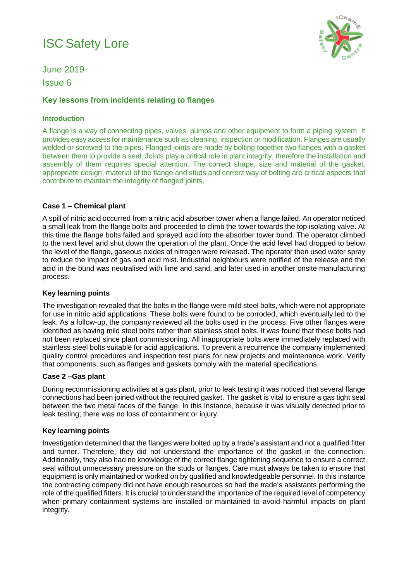# ISC Safety Lore



June 2019 Issue 6

# **Key lessons from incidents relating to flanges**

## **Introduction**

A flange is a way of connecting pipes, valves, pumps and other equipment to form a piping system. It provides easy access for maintenance such as cleaning, inspection or modification. Flanges are usually welded or screwed to the pipes. Flanged joints are made by bolting together two flanges with a gasket between them to provide a seal. Joints play a critical role in plant integrity, therefore the installation and assembly of them requires special attention. The correct shape, size and material of the gasket, appropriate design, material of the flange and studs and correct way of bolting are critical aspects that contribute to maintain the integrity of flanged joints.

## **Case 1 – Chemical plant**

A spill of nitric acid occurred from a nitric acid absorber tower when a flange failed. An operator noticed a small leak from the flange bolts and proceeded to climb the tower towards the top isolating valve. At this time the flange bolts failed and sprayed acid into the absorber tower bund. The operator climbed to the next level and shut down the operation of the plant. Once the acid level had dropped to below the level of the flange, gaseous oxides of nitrogen were released. The operator then used water spray to reduce the impact of gas and acid mist. Industrial neighbours were notified of the release and the acid in the bund was neutralised with lime and sand, and later used in another onsite manufacturing process.

#### **Key learning points**

The investigation revealed that the bolts in the flange were mild steel bolts, which were not appropriate for use in nitric acid applications. These bolts were found to be corroded, which eventually led to the leak. As a follow-up, the company reviewed all the bolts used in the process. Five other flanges were identified as having mild steel bolts rather than stainless steel bolts. It was found that these bolts had not been replaced since plant commissioning. All inappropriate bolts were immediately replaced with stainless steel bolts suitable for acid applications. To prevent a recurrence the company implemented quality control procedures and inspection test plans for new projects and maintenance work. Verify that components, such as flanges and gaskets comply with the material specifications.

#### **Case 2 –Gas plant**

During recommissioning activities at a gas plant, prior to leak testing it was noticed that several flange connections had been joined without the required gasket. The gasket is vital to ensure a gas tight seal between the two metal faces of the flange. In this instance, because it was visually detected prior to leak testing, there was no loss of containment or injury.

#### **Key learning points**

Investigation determined that the flanges were bolted up by a trade's assistant and not a qualified fitter and turner. Therefore, they did not understand the importance of the gasket in the connection. Additionally, they also had no knowledge of the correct flange tightening sequence to ensure a correct seal without unnecessary pressure on the studs or flanges. Care must always be taken to ensure that equipment is only maintained or worked on by qualified and knowledgeable personnel. In this instance the contracting company did not have enough resources so had the trade's assistants performing the role of the qualified fitters. It is crucial to understand the importance of the required level of competency when primary containment systems are installed or maintained to avoid harmful impacts on plant integrity.